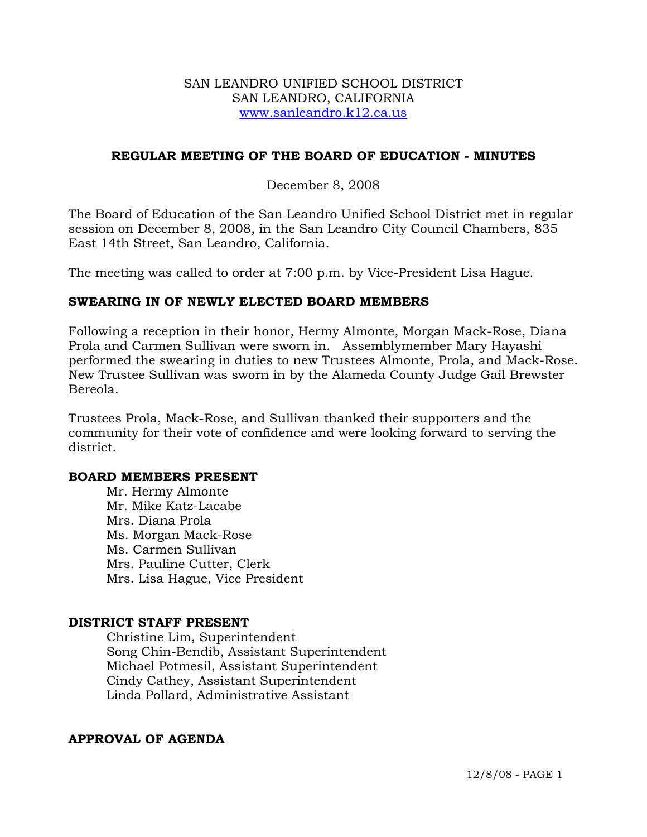### SAN LEANDRO UNIFIED SCHOOL DISTRICT SAN LEANDRO, CALIFORNIA www.sanleandro.k12.ca.us

### **REGULAR MEETING OF THE BOARD OF EDUCATION - MINUTES**

### December 8, 2008

The Board of Education of the San Leandro Unified School District met in regular session on December 8, 2008, in the San Leandro City Council Chambers, 835 East 14th Street, San Leandro, California.

The meeting was called to order at 7:00 p.m. by Vice-President Lisa Hague.

### **SWEARING IN OF NEWLY ELECTED BOARD MEMBERS**

Following a reception in their honor, Hermy Almonte, Morgan Mack-Rose, Diana Prola and Carmen Sullivan were sworn in. Assemblymember Mary Hayashi performed the swearing in duties to new Trustees Almonte, Prola, and Mack-Rose. New Trustee Sullivan was sworn in by the Alameda County Judge Gail Brewster Bereola.

Trustees Prola, Mack-Rose, and Sullivan thanked their supporters and the community for their vote of confidence and were looking forward to serving the district.

### **BOARD MEMBERS PRESENT**

Mr. Hermy Almonte Mr. Mike Katz-Lacabe Mrs. Diana Prola Ms. Morgan Mack-Rose Ms. Carmen Sullivan Mrs. Pauline Cutter, Clerk Mrs. Lisa Hague, Vice President

### **DISTRICT STAFF PRESENT**

Christine Lim, Superintendent Song Chin-Bendib, Assistant Superintendent Michael Potmesil, Assistant Superintendent Cindy Cathey, Assistant Superintendent Linda Pollard, Administrative Assistant

### **APPROVAL OF AGENDA**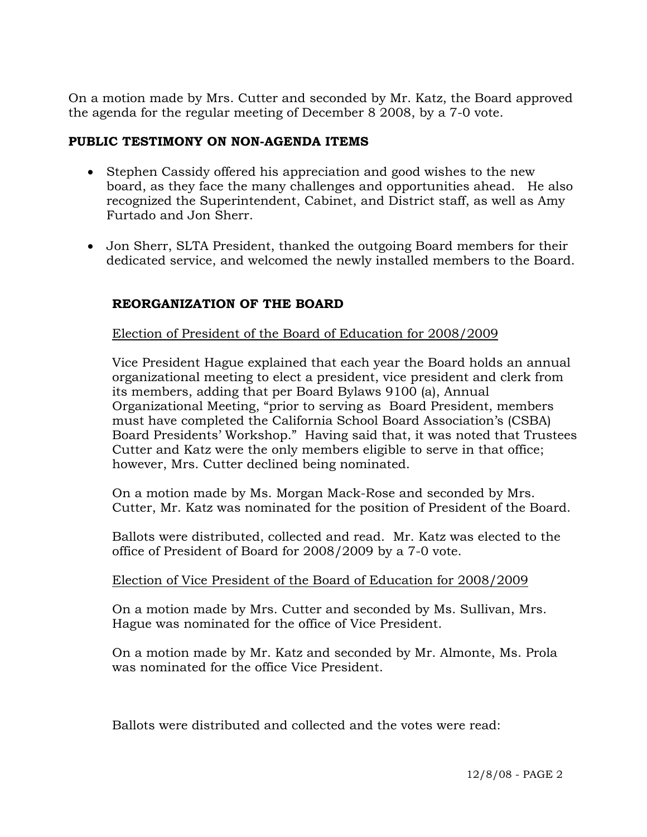On a motion made by Mrs. Cutter and seconded by Mr. Katz, the Board approved the agenda for the regular meeting of December 8 2008, by a 7-0 vote.

### **PUBLIC TESTIMONY ON NON-AGENDA ITEMS**

- Stephen Cassidy offered his appreciation and good wishes to the new board, as they face the many challenges and opportunities ahead. He also recognized the Superintendent, Cabinet, and District staff, as well as Amy Furtado and Jon Sherr.
- Jon Sherr, SLTA President, thanked the outgoing Board members for their dedicated service, and welcomed the newly installed members to the Board.

# **REORGANIZATION OF THE BOARD**

Election of President of the Board of Education for 2008/2009

Vice President Hague explained that each year the Board holds an annual organizational meeting to elect a president, vice president and clerk from its members, adding that per Board Bylaws 9100 (a), Annual Organizational Meeting, "prior to serving as Board President, members must have completed the California School Board Association's (CSBA) Board Presidents' Workshop." Having said that, it was noted that Trustees Cutter and Katz were the only members eligible to serve in that office; however, Mrs. Cutter declined being nominated.

On a motion made by Ms. Morgan Mack-Rose and seconded by Mrs. Cutter, Mr. Katz was nominated for the position of President of the Board.

Ballots were distributed, collected and read. Mr. Katz was elected to the office of President of Board for 2008/2009 by a 7-0 vote.

# Election of Vice President of the Board of Education for 2008/2009

On a motion made by Mrs. Cutter and seconded by Ms. Sullivan, Mrs. Hague was nominated for the office of Vice President.

On a motion made by Mr. Katz and seconded by Mr. Almonte, Ms. Prola was nominated for the office Vice President.

Ballots were distributed and collected and the votes were read: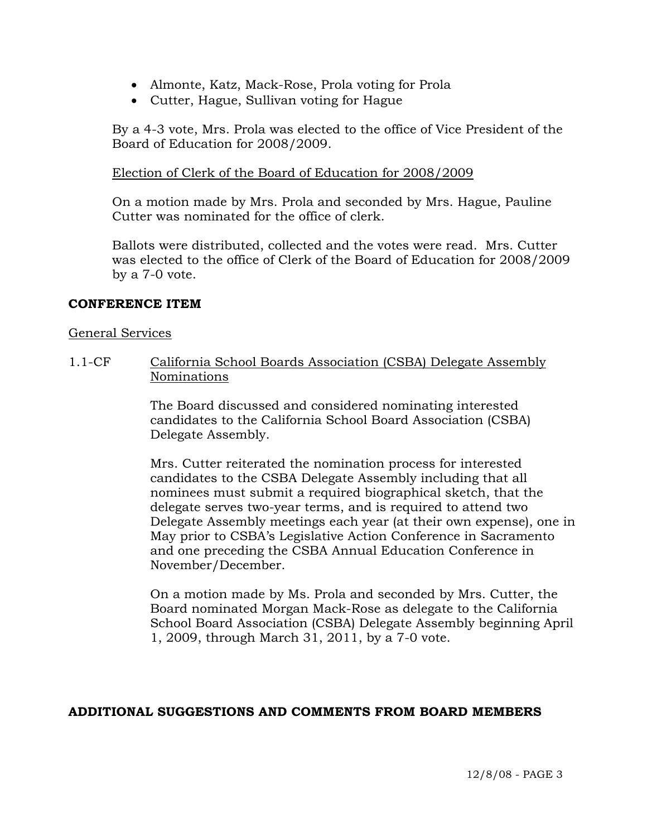- Almonte, Katz, Mack-Rose, Prola voting for Prola
- Cutter, Hague, Sullivan voting for Hague

By a 4-3 vote, Mrs. Prola was elected to the office of Vice President of the Board of Education for 2008/2009.

# Election of Clerk of the Board of Education for 2008/2009

On a motion made by Mrs. Prola and seconded by Mrs. Hague, Pauline Cutter was nominated for the office of clerk.

Ballots were distributed, collected and the votes were read. Mrs. Cutter was elected to the office of Clerk of the Board of Education for 2008/2009 by a 7-0 vote.

### **CONFERENCE ITEM**

### General Services

1.1-CF California School Boards Association (CSBA) Delegate Assembly Nominations

> The Board discussed and considered nominating interested candidates to the California School Board Association (CSBA) Delegate Assembly.

Mrs. Cutter reiterated the nomination process for interested candidates to the CSBA Delegate Assembly including that all nominees must submit a required biographical sketch, that the delegate serves two-year terms, and is required to attend two Delegate Assembly meetings each year (at their own expense), one in May prior to CSBA's Legislative Action Conference in Sacramento and one preceding the CSBA Annual Education Conference in November/December.

On a motion made by Ms. Prola and seconded by Mrs. Cutter, the Board nominated Morgan Mack-Rose as delegate to the California School Board Association (CSBA) Delegate Assembly beginning April 1, 2009, through March 31, 2011, by a 7-0 vote.

# **ADDITIONAL SUGGESTIONS AND COMMENTS FROM BOARD MEMBERS**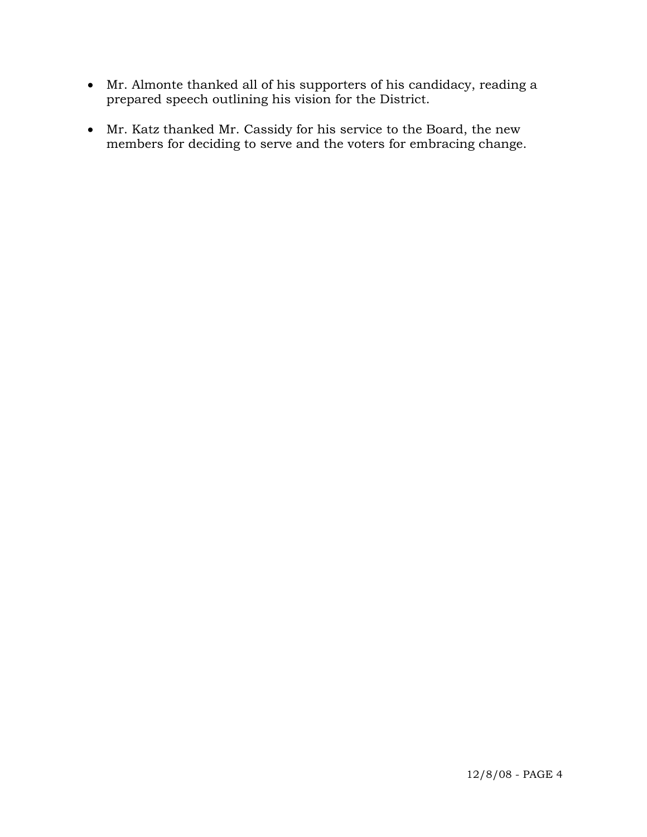- Mr. Almonte thanked all of his supporters of his candidacy, reading a prepared speech outlining his vision for the District.
- Mr. Katz thanked Mr. Cassidy for his service to the Board, the new members for deciding to serve and the voters for embracing change.